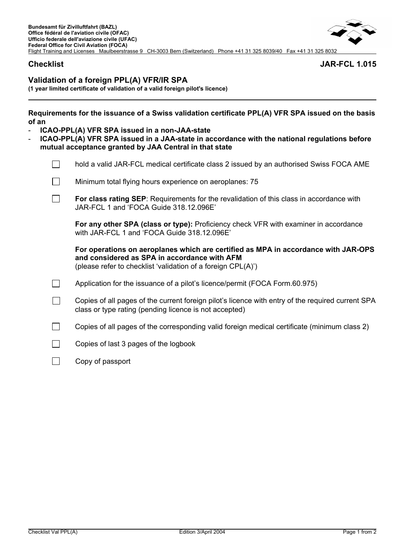# **Validation of a foreign PPL(A) VFR/IR SPA**

**(1 year limited certificate of validation of a valid foreign pilot's licence)** 

| Requirements for the issuance of a Swiss validation certificate PPL(A) VFR SPA issued on the basis |  |
|----------------------------------------------------------------------------------------------------|--|
| of an                                                                                              |  |

- **ICAO-PPL(A) VFR SPA issued in a non-JAA-state**
- **ICAO-PPL(A) VFR SPA issued in a JAA-state in accordance with the national regulations before mutual acceptance granted by JAA Central in that state**

| hold a valid JAR-FCL medical certificate class 2 issued by an authorised Swiss FOCA AME                                                                                                            |
|----------------------------------------------------------------------------------------------------------------------------------------------------------------------------------------------------|
| Minimum total flying hours experience on aeroplanes: 75                                                                                                                                            |
| For class rating SEP: Requirements for the revalidation of this class in accordance with<br>JAR-FCL 1 and 'FOCA Guide 318.12.096E'                                                                 |
| For any other SPA (class or type): Proficiency check VFR with examiner in accordance<br>with JAR-FCL 1 and 'FOCA Guide 318.12.096E'                                                                |
| For operations on aeroplanes which are certified as MPA in accordance with JAR-OPS<br>and considered as SPA in accordance with AFM<br>(please refer to checklist 'validation of a foreign CPL(A)') |
| Application for the issuance of a pilot's licence/permit (FOCA Form.60.975)                                                                                                                        |
| Copies of all pages of the current foreign pilot's licence with entry of the required current SPA<br>class or type rating (pending licence is not accepted)                                        |
| Copies of all pages of the corresponding valid foreign medical certificate (minimum class 2)                                                                                                       |
| Copies of last 3 pages of the logbook                                                                                                                                                              |

Copy of passport